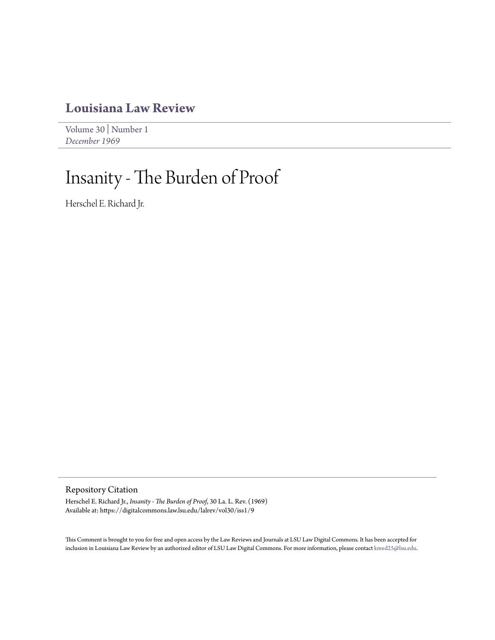## **[Louisiana Law Review](https://digitalcommons.law.lsu.edu/lalrev)**

[Volume 30](https://digitalcommons.law.lsu.edu/lalrev/vol30) | [Number 1](https://digitalcommons.law.lsu.edu/lalrev/vol30/iss1) *[December 1969](https://digitalcommons.law.lsu.edu/lalrev/vol30/iss1)*

# Insanity - The Burden of Proof

Herschel E. Richard Jr.

Repository Citation

Herschel E. Richard Jr., *Insanity - The Burden of Proof*, 30 La. L. Rev. (1969) Available at: https://digitalcommons.law.lsu.edu/lalrev/vol30/iss1/9

This Comment is brought to you for free and open access by the Law Reviews and Journals at LSU Law Digital Commons. It has been accepted for inclusion in Louisiana Law Review by an authorized editor of LSU Law Digital Commons. For more information, please contact [kreed25@lsu.edu](mailto:kreed25@lsu.edu).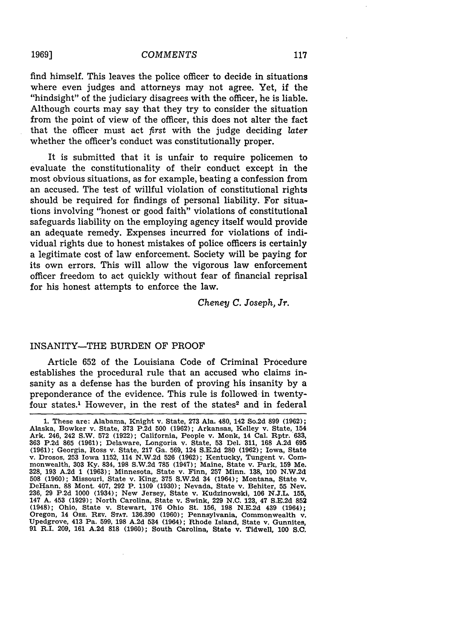find himself. This leaves the police officer to decide in situations where even judges and attorneys may not agree. Yet, if the "hindsight" of the judiciary disagrees with the officer, he is liable. Although courts may say that they try to consider the situation from the point of view of the officer, this does not alter the fact that the officer must act first with the judge deciding *later* whether the officer's conduct was constitutionally proper.

It is submitted that it is unfair to require policemen to evaluate the constitutionality of their conduct except in the most obvious situations, as for example, beating a confession from an accused. The test of willful violation of constitutional rights should be required for findings of personal liability. For situations involving "honest or good faith" violations of constitutional safeguards liability on the employing agency itself would provide an adequate remedy. Expenses incurred for violations of individual rights due to honest mistakes of police officers is certainly a legitimate cost of law enforcement. Society will be paying for its own errors. This will allow the vigorous law enforcement officer freedom to act quickly without fear of financial reprisal for his honest attempts to enforce the law.

*Cheney C. Joseph, Jr.*

#### INSANITY-THE BURDEN OF PROOF

Article 652 of the Louisiana Code of Criminal Procedure establishes the procedural rule that an accused who claims insanity as a defense has the burden of proving his insanity by a preponderance of the evidence. This rule is followed in twentyfour states.<sup>1</sup> However, in the rest of the states<sup>2</sup> and in federal

**1969]**

<sup>1.</sup> These are: Alabama, Knight v. State, **273** Ala. 480, 142 So.2d 899 (1962); Alaska, Bowker v. State, **373** P.2d 500 (1962); Arkansas, Kelley v. State, 154 Ark. 246, 242 S.W. 572 (1922); California, People v. Monk, 14 Cal. Rptr. 633, 363 P.2d 865 (1961); Delaware, Longoria v. State, 53 Del. 311, 168 A.2d 695 (1961); Delaware, Longoria v. State, 53 Del. 311, 168 A.2d 695 (1961 v. Drosos, 253 Iowa 1152, 114 N.W.2d 526 (1962); Kentucky, Tungent v. Com-<br>monwealth, 303 Ky. 834, 198 S.W.2d 785 (1947); Maine, State v. Park, 159 Me. 328, 193 A.2d 1 (1963); Minnesota, State v. Finn, 257 Minn. 138, 100 N.W.2d 508 (1960); Missouri, State v. King, **375** S.W.2d 34 (1964); Montana, State v. DeHann, 88 Mont. 407, 292 P. 1109 (1930); Nevada, State v. Behiter, 55 Nev. 236, 29 P.2d 1000 (1934); New Jersey, State v. Kudzinowski, 106 N.J.L. 155, 147 A. 453 (1929); North Carolina, State v. Kudzinowski, 106 N.J.L. 155, 147 A. 453 (1929); North Carolina, State v. Swink, 229 N.C. 123, 47 S.E.2 Upedgrove, 413 Pa. 599, 198 A.2d 534 (1964); Rhode Island, State v. Gunnites, **91** R.I. 209, **161** A.2d 818 (1960); South Carolina, State v. Tidwell, 100 **S.C.**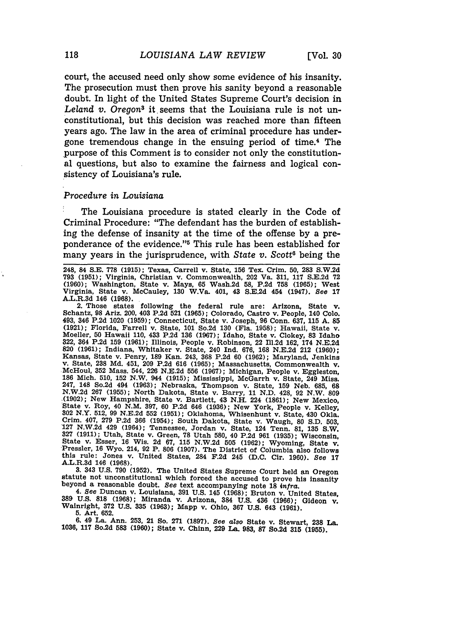court, the accused need only show some evidence of his insanity. The prosecution must then prove his sanity beyond a reasonable doubt. In light of the United States Supreme Court's decision in *Leland v. Oregons* it. seems that the Louisiana rule is not unconstitutional, but this decision was reached more than fifteen years ago. The law in the area of criminal procedure has undergone tremendous change in the ensuing period of time.4 The purpose of this Comment is to consider not only the constitutional questions, but also to examine the fairness and logical consistency of Louisiana's rule.

#### *Procedure in Louisiana*

The Louisiana procedure is stated clearly in the Code of Criminal Procedure: "The defendant has the burden of establishing the defense of insanity at the time of the offense by a preponderance of the evidence."<sup>5</sup> This rule has been established for many years in the jurisprudence, with *State v. Scott6* being the

248, 84 S.E. **778 (1915);** Texas, Carrell v. State, **156** Tex. Crim. 50, **283** S.W.2d **793** (1951); Virginia, Christian v. Commonwealth, 202 Va. 311, **117** S.E.2d 72 (1960); Washington, State v. Mays, 65 Wash.2d **58,** P.2d **758** (1965); West Virginia, State v. McCauley, 130 W.Va. 401, 43 S.E.2d 454 (1947). See 17 A.L.R.3d 146 (1968).

2. Those states following the federal rule are: Arizona, State v. Schantz, **98** Ariz. 200, 403 P.2d **521** (1965); Colorado, Castro v. People, 140 Colo. 493, 346 P.2d 1020 (1959); Connecticut, State v. Joseph, 96 Conn. 637, 115 A. 85 (1921); Florida, Farrell v. State, 101 So.2d 130 (Fla. 1958); Hawaii, State v. Moeller, 50 Hawaii 110, 433 P.2d 136 (1967); Idaho, State v. C 322, 364 P.2d 159 (1961); Illinois, People v. Robinson, 22 Ill.2d 162, 174 N.E.2d **820** (1961); Indiana, Whitaker v. State, 240 Ind. 676, **168** N.E.2d 212 (1960); Eansas, State v. Penry, 189 Kan. 243, 368 P.2d 60 (1962); Maryland, Jenkins<br>v. State, 238 Md. 451, 209 P.2d 616 (1965); Massachusetts, Commonwealth v.<br>McHoul, 352 Mass. 544, 226 N.E.2d 556 (1967); Michigan, People v. Eggle 247, 148 So.2d 494 (1963); Nebraska, Thompson v. State, 159 Neb. 685, 68<br>N.W.2d 267 (1955); North Dakota, State v. Barry, 11 N.D. 428, 92 N.W. 809<br>(1902); New Hampshire, State v. Bartlett, 43 N.H. 224 (1861); New Mexico. 7State v. Roy, 40 N.M. 397, 60 P.2d 646 (1936); New York, People v. Kelley, 302 N.Y. 512, 99 N.E.2d **552 (1951);** Oklahoma, Whisenhunt v. State, 430 Okla. Crim. 407, 279 P.2d 366 (1954); South Dakota, State v. Waugh, 80 S.D. 503,<br>127 N.W.2d 429 (1964); Tennessee, Jordan v. State, 124 Tenn. 81, 135 S.W.<br>327 (1911); Utah, State v. Green, 78 Utah 580, 40 P.2d 961 (1935): Wiscon State v. Esser, **16** Wis. 2d 67, 115 N.W.2d 505 **(1962);** Wyoming, State v. Pressler, 16 Wyo. 214, 92 P. **806** (1907). The District of Columbia also follows this rule: Jones v. United States, **284 F.2d** 245 **(D.C.** Cir. **1960).** See **<sup>17</sup>** A.L.R.3d 146 **(1968).**

3. 343 U.S. 790 (1952). The United States Supreme Court held an Oregon statute not unconstitutional which forced the accused to prove his insanity beyond a reasonable doubt. See text accompanying note 18  $\inf$ a.

4. See Duncan v. Louisiana, 391 U.S. 145 (1968); Bruton v. United States, 389 U.S. 318 (1968); Miranda v. Arizona, 384 U.S. 436 (1966); Gideon v. Walnright, 372 U.S. 335 (1963); Mapp v. Ohio, 367 U.S. 643 (1961). **5.** Art. **652.**

**6.** 49 La. Ann. **253,** 21 So. **271 (1897).** *See* also State v. Stewart, **238 La. 1036, 117** So.2d **583 (1960);** State v. Chinn, **229** La. **983, 87** So.2d **315 (1955).**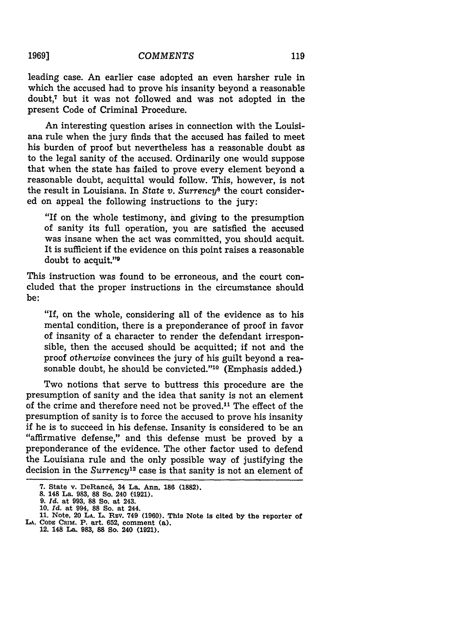leading case. An earlier case adopted an even harsher rule in which the accused had to prove his insanity beyond a reasonable doubt,7 but it was not followed and was not adopted in the present Code of Criminal Procedure.

An interesting question arises in connection with the Louisiana rule when the jury finds that the accused has failed to meet his burden of proof but nevertheless has a reasonable doubt as to the legal sanity of the accused. Ordinarily one would suppose that when the state has failed to prove every element beyond a reasonable doubt, acquittal would follow. This, however, is not the result in Louisiana. In *State v. Surrency8* the court considered on appeal the following instructions to the jury:

"If on the whole testimony, and giving to the presumption of sanity its full operation, you are satisfied the accused was insane when the act was committed, you should acquit. It is sufficient if the evidence on this point raises a reasonable doubt to acquit."9

This instruction was found to be erroneous, and the court concluded that the proper instructions in the circumstance should be:

"If, on the whole, considering all of the evidence as to his mental condition, there is a preponderance of proof in favor of insanity of a character to render the defendant irresponsible, then the accused should be acquitted; if not and the proof *otherwise* convinces the jury of his guilt beyond a reasonable doubt, he should be convicted."<sup>10</sup> (Emphasis added.)

Two notions that serve to buttress this procedure are the presumption of sanity and the idea that sanity is not an element of the crime and therefore need not be proved.<sup>11</sup> The effect of the presumption of sanity is to force the accused to prove his insanity if he is to succeed in his defense. Insanity is considered to be an "affirmative defense," and this defense must be proved by a preponderance of the evidence. The other factor used to defend the Louisiana rule and the only possible way of justifying the decision in the *Surrency*<sup>12</sup> case is that sanity is not an element of

**1969]**

**<sup>7.</sup> State** v. DeRanc6, **34 La.** Ann. **186 (1882). 8. 148 La. 983, 88 So. 240 (1921).**

**<sup>9.</sup>** *Id.* **at 993, 88 So. at 243.**

**<sup>10.</sup>** *Id.* **at 994, 88 So. at 244. 11. Note, 20 LA. L. REV. 749 (1960). This Note is cited by the reporter of LA. CODE CRIM. P. art. 652, comment (a).**

**<sup>12. 148</sup> La. 983, 88 So. 240 (1921).**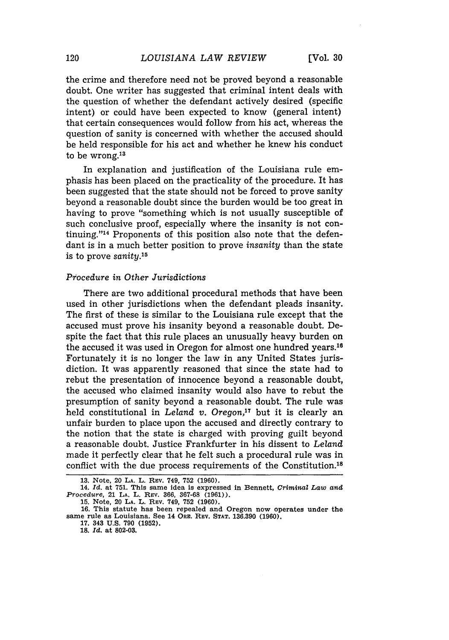the crime and therefore need not be proved beyond a reasonable doubt. One writer has suggested that criminal intent deals with the question of whether the defendant actively desired (specific intent) or could have been expected to know (general intent) that certain consequences would follow from his act, whereas the question of sanity is concerned with whether the accused should be held responsible for his act and whether he knew his conduct to be wrong.<sup>13</sup>

In explanation and justification of the Louisiana rule emphasis has been placed on the practicality of the procedure. It has been suggested that the state should not be forced to prove sanity beyond a reasonable doubt since the burden would be too great in having to prove "something which is not usually susceptible of such conclusive proof, especially where the insanity is not continuing. '14 Proponents of this position also note that the defendant is in a much better position to prove *insanity* than the state is to prove *sanity.15*

#### *Procedure in Other Jurisdictions*

There are two additional procedural methods that have been used in other jurisdictions when the defendant pleads insanity. The first of these is similar to the Louisiana rule except that the accused must prove his insanity beyond a reasonable doubt. Despite the fact that this rule places an unusually heavy burden on the accused it was used in Oregon for almost one hundred years.<sup>16</sup> Fortunately it is no longer the law in any United States jurisdiction. It was apparently reasoned that since the state had to rebut the presentation of innocence beyond a reasonable doubt, the accused who claimed insanity would also have to rebut the presumption of sanity beyond a reasonable doubt. The rule was held constitutional in *Leland v. Oregon*,<sup>17</sup> but it is clearly an unfair burden to place upon the accused and directly contrary to the notion that the state is charged with proving guilt beyond a reasonable doubt. Justice Frankfurter in his dissent to *Leland* made it perfectly clear that he felt such a procedural rule was in conflict with the due process requirements of the Constitution.<sup>18</sup>

**<sup>13.</sup>** Note, 20 **LA. L.** Rev. **749, 752 (1960).**

**<sup>14.</sup>** *Id.* at **751.** This same **idea** is expressed in Bennett, *Criminal Law and Procedure,* **21 LA.** L. REv. **366, 367-68 (1961)).**

**<sup>15.</sup>** Note, 20 **LA.** L. REv. 749, **752 (1960).**

**<sup>16.</sup>** This statute has been repealed and Oregon **now** operates under **the** same rule as Louisiana. **See** 14 ORE. REV. **STAT. 136.390 (1960).**

**<sup>17.</sup>** 343 **U.S. 790 (1952).**

**<sup>18.</sup>** *Id.* **at 802-03.**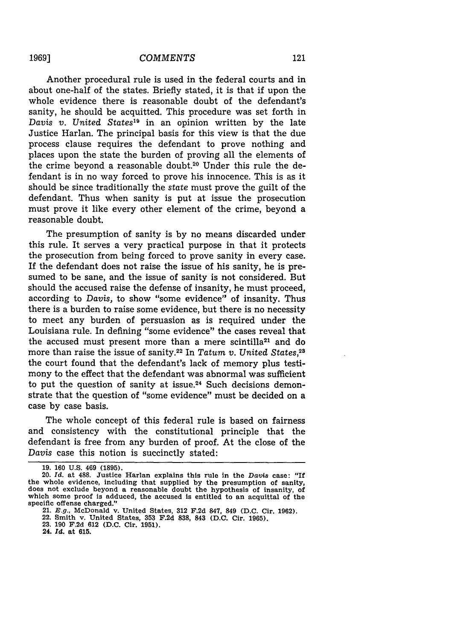Another procedural rule is used in the federal courts and in about one-half of the states. Briefly stated, it is that if upon the whole evidence there is reasonable doubt of the defendant's sanity, he should be acquitted. This procedure was set forth in *Davis v. United States19* in an opinion written by the late Justice Harlan. The principal basis for this view is that the due process clause requires the defendant to prove nothing and places upon the state the burden of proving all the elements of the crime beyond a reasonable doubt.<sup>20</sup> Under this rule the defendant is in no way forced to prove his innocence. This is as it should be since traditionally the state must prove the guilt of the defendant. Thus when sanity is put at issue the prosecution must prove it like every other element of the crime, beyond a reasonable doubt.

The presumption of sanity is by no means discarded under this rule. It serves a very practical purpose in that it protects the prosecution from being forced to prove sanity in every case. If the defendant does not raise the issue of his sanity, he is presumed to be sane, and the issue of sanity is not considered. But should the accused raise the defense of insanity, he must proceed, according to *Davis,* to show "some evidence" of insanity. Thus there is a burden to raise some evidence, but there is no necessity to meet any burden of persuasion as is required under the Louisiana rule. In defining "some evidence" the cases reveal that the accused must present more than a mere scintilla<sup>21</sup> and do more than raise the issue of sanity.22 In *Tatum v. United States,2s* the court found that the defendant's lack of memory plus testimony to the effect that the defendant was abnormal was sufficient to put the question of sanity at issue.<sup>24</sup> Such decisions demonstrate that the question of "some evidence" must be decided on a case by case basis.

The whole concept of this federal rule is based on fairness and consistency with the constitutional principle that the defendant is free from any burden of proof. At the close of the *Davis* case this notion is succinctly stated:

**24.** *Id.* at **615.**

**<sup>19. 160</sup> U.S.** 469 **(1895).**

**<sup>20.</sup>** *Id.* at **488.** Justice Harlan explains **this** rule **in the** Davis **case:** "If the whole evidence, including that supplied **by the** presumption of **sanity,** does not exclude beyond a reasonable doubt the hypothesis of insanity, of which some proof is adduced, the accused is entitled to an acquittal of **the** specific offense charged."

<sup>21.</sup> *E.g.,* McDonald v. United **States, 312 F.2d 847, 849 (D.C.** Cir. **1962).**

<sup>22.</sup> Smith v. United **States, 353 F.2d 838, 843 (D.C.** Cir. **1965).**

**<sup>23. 190</sup> F.2d 612 (D.C.** Cir. **1951).**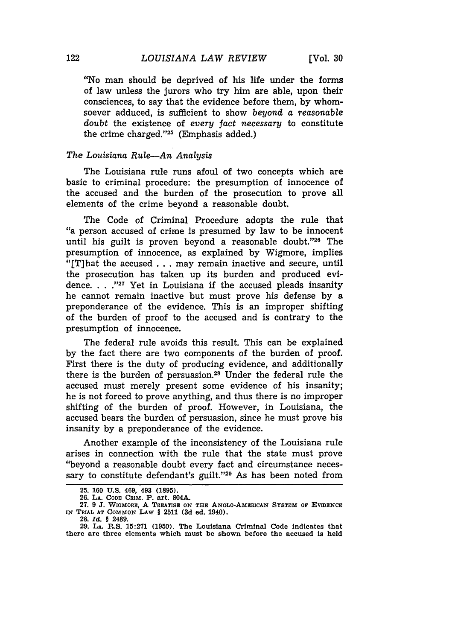"No man should be deprived of his life under the forms of law unless the jurors who try him are able, upon their consciences, to say that the evidence before them, by whomsoever adduced, is sufficient to show *beyond a reasonable doubt* the existence of *every fact necessary* to constitute the crime charged."25 (Emphasis added.)

#### *The Louisiana Rule-An Analysis*

The Louisiana rule runs afoul of two concepts which are basic to criminal procedure: the presumption of innocence of the accused and the burden of the prosecution to prove all elements of the crime beyond a reasonable doubt.

The Code of Criminal Procedure adopts the rule that "a person accused of crime is presumed by law to be innocent until his guilt is proven beyond a reasonable doubt." $26$  The presumption of innocence, as explained by Wigmore, implies "[T]hat the accused . . . may remain inactive and secure, until the prosecution has taken up its burden and produced evidence. . . .<sup>"27</sup> Yet in Louisiana if the accused pleads insanity he cannot remain inactive but must prove his defense by a preponderance of the evidence. This is an improper shifting of the burden of proof to the accused and is contrary to the presumption of innocence.

The federal rule avoids this result. This can be explained by the fact there are two components of the burden of proof. First there is the duty of producing evidence, and additionally there is the burden of persuasion.28 Under the federal rule the accused must merely present some evidence of his insanity; he is not forced to prove anything, and thus there is no improper shifting of the burden of proof. However, in Louisiana, the accused bears the burden of persuasion, since he must prove his insanity by a preponderance of the evidence.

Another example of the inconsistency of the Louisiana rule arises in connection with the rule that the state must prove "beyond a reasonable doubt every fact and circumstance necessary to constitute defendant's guilt."<sup>29</sup> As has been noted from

**<sup>25. 160</sup> U.S. 469, 493 (1895).**

**<sup>26.</sup> LA. CODE CRIM. P. art. 804A.**

**<sup>27. 9</sup> J.** WIGMORE, **A TREATISE ON THE ANGLO-AMERICAN SYSTEM OF EVIDENCE IN TRIAL AT COMMON LAW** § **2511 (3d ed. 1940).**

**<sup>28.</sup>** *Id.* § 2489.

**<sup>29.</sup> LA. R.S. 15:271 (1950). The Louisiana Criminal Code indicates that there are three elements which must be shown before the accused is held**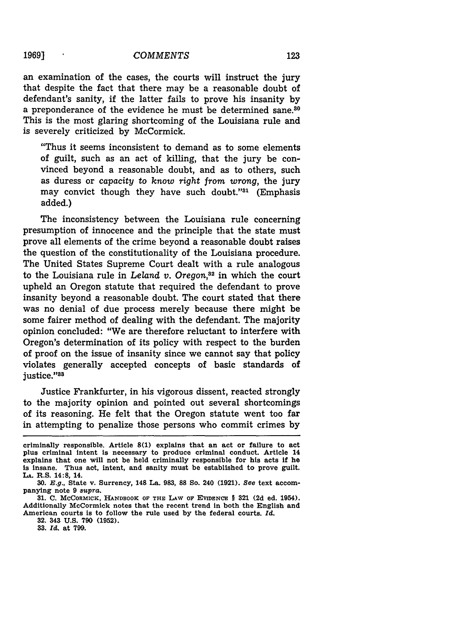an examination of the cases, the courts will instruct the jury that despite the fact that there may be a reasonable doubt of defendant's sanity, if the latter fails to prove his insanity **by** a preponderance of the evidence he must be determined sane.<sup>80</sup> This is the most glaring shortcoming of the Louisiana rule and is severely criticized **by** McCormick.

"Thus it seems inconsistent to demand as to some elements of guilt, such as an act of killing, that the jury be convinced beyond a reasonable doubt, and as to others, such as duress or *capacity to know right from wrong,* the jury may convict though they have such doubt."<sup>31</sup> (Emphasis added.)

The inconsistency between the Louisiana rule concerning presumption of innocence and the principle that the state must prove all elements of the crime beyond a reasonable doubt raises the question of the constitutionality of the Louisiana procedure. The United States Supreme Court dealt with a rule analogous to the Louisiana rule in *Leland v. Oregon,3 <sup>2</sup>*in which the court upheld an Oregon statute that required the defendant to prove insanity beyond a reasonable doubt. The court stated that there was no denial of due process merely because there might be some fairer method of dealing with the defendant. The majority opinion concluded: "We are therefore reluctant to interfere with Oregon's determination of its policy with respect to the burden of proof on the issue of insanity since we cannot say that policy violates generally accepted concepts of basic standards of justice."<sup>83</sup>

Justice Frankfurter, in his vigorous dissent, reacted strongly to the majority opinion and pointed out several shortcomings of its reasoning. He felt that the Oregon statute went too far in attempting to penalize those persons who commit crimes **by**

**32.** 343 **U.S. 790 (1952).**

**33.** *Id.* at **799.**

criminally responsible. Article **8(1)** explains that an act or failure to act plus criminal intent is necessary to produce criminal conduct. Article 14 explains that one will not be held criminally responsible for his acts if he Is insane. Thus act, intent, and sanity must be established to prove guilt. **LA.** R.S. 14:8, 14.

*<sup>30.</sup>* **E.g.,** State v. Surrency, 148 La. **983, 88** So. 240 **(1921).** *See* text accompanying note **9** *supra.*

**<sup>31.</sup> C.** MCCORMICK, **HANDBOOK** OF **THE LAW OF EVIDENCE § 321 (2d** ed. 1954). Additionally McCormick notes that the recent trend in both the English and American courts is to follow the rule used **by** the federal courts. *Id.*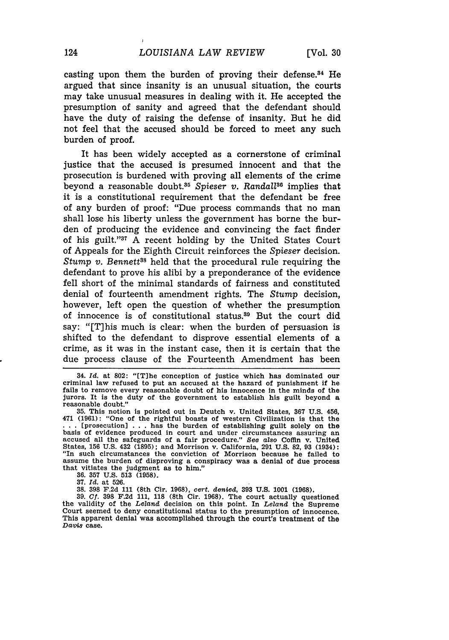casting upon them the burden of proving their defense. $34$  He argued that since insanity is an unusual situation, the courts may take unusual measures in dealing with it. He accepted the presumption of sanity and agreed that the defendant should have the duty of raising the defense of insanity. But he did not feel that the accused should be forced to meet any such burden of proof.

It has been widely accepted as a cornerstone of criminal justice that the accused is presumed innocent and that the prosecution is burdened with proving all elements of the crime beyond a reasonable doubt.<sup>35</sup> Spieser v. Randall<sup>36</sup> implies that it is a constitutional requirement that the defendant be free of any burden of proof: "Due process commands that no man shall lose his liberty unless the government has borne the burden of producing the evidence and convincing the fact finder of his guilt."<sup>37</sup> A recent holding by the United States Court of Appeals for the Eighth Circuit reinforces the *Spieser* decision. *Stump v. Bennett3s* held that the procedural rule requiring the defendant to prove his alibi by a preponderance of the evidence fell short of the minimal standards of fairness and constituted denial of fourteenth amendment rights. The *Stump* decision, however, left open the question of whether the presumption of innocence is of constitutional status.30 But the court did say: "[T]his much is clear: when the burden of persuasion is shifted to the defendant to disprove essential elements of a crime, as it was in the instant case, then it is certain that the due process clause of the Fourteenth Amendment has been

**37.** *Id.* at 526.

38. **398** F.2d 111 (8th Cir. 1968), *cert. denied,* **393 U.S.** 1001 (1968).

**39. Cf. 398** F.2d 111, 118 (8th Cir. 1968). The court actually questioned the validity of the *Leland* decision on this point. In *Leland* the Supreme the validity of the Leland decision on this point. In Leland the Supreme Court seemed to deny constitutional status to the presumption of innocence. This apparent denial was accomplished through the court's treatment of the *Davis* case.

<sup>34.</sup> *Id.* at **802:** "[Tlhe conception of justice which has dominated our criminal law refused to put an accused at the hazard of punishment if he fails to remove every reasonable doubt of his innocence in the minds of the jurors. It is the duty of the government to establish his guilt beyond a reasonable doubt."

**<sup>35.</sup>** This notion is pointed out in Deutch v. United States, **367 U.S.** 456, 471 (1961): "One of the rightful boasts of western Civilization is that the **...** [prosecution] . . . has the burden of establishing guilt solely on the basis of evidence produced in court and under circumstances assuring an accused all the safeguards of a fair procedure." See also Coffin v. United States, **156 U.S.** 432 (1895); and Morrison v. California, 291 U.S. **82,** 93 (1934): "In such circumstances the conviction of Morrison because he failed to assume the burden of disproving a conspiracy was a denial of due process that vitiates the judgment as to him."

**<sup>36. 357</sup>** U.S. **513** (1958).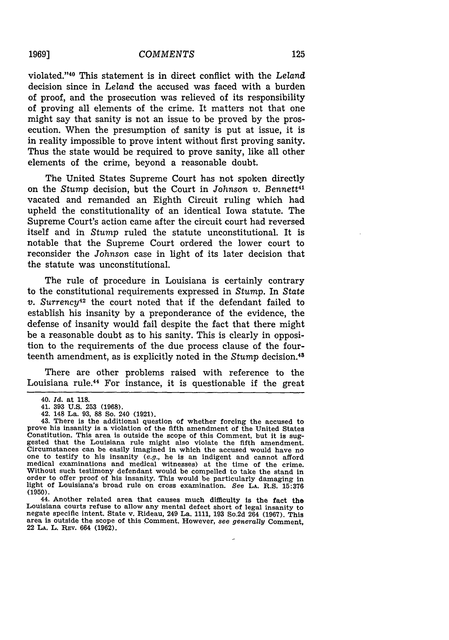violated. '40 This statement is in direct conflict with the *Leland* decision since in *Leland* the accused was faced with a burden of proof, and the prosecution was relieved of its responsibility of proving all elements of the crime. It matters not that one might say that sanity is not an issue to be proved by the prosecution. When the presumption of sanity is put at issue, it is in reality impossible to prove intent without first proving sanity. Thus the state would be required to prove sanity, like all other elements of the crime, beyond a reasonable doubt.

The United States Supreme Court has not spoken directly on the *Stump* decision, but the Court in *Johnson v. Bennett4 '* vacated and remanded an Eighth Circuit ruling which had upheld the constitutionality of an identical Iowa statute. The Supreme Court's action came after the circuit court had reversed itself and in *Stump* ruled the statute unconstitutional. It is notable that the Supreme Court ordered the lower court to reconsider the *Johnson* case in light of its later decision that the statute was unconstitutional.

The rule of procedure in Louisiana is certainly contrary to the constitutional requirements expressed in *Stump.* In *State v.* Surrency<sup>42</sup> the court noted that if the defendant failed to establish his insanity by a preponderance of the evidence, the defense of insanity would fail despite the fact that there might be a reasonable doubt as to his sanity. This is clearly in opposition to the requirements of the due process clause of the fourteenth amendment, as is explicitly noted in the *Stump* decision. <sup>43</sup>

There are other problems raised with reference to the Louisiana rule.44 For instance, it is questionable if the great

44. Another related area that causes much difficulty is the fact the Louisiana courts refuse to allow any mental defect short of legal insanity to negate specific intent. State v. Rideau, 249 La. 1111, 193 So.2d 264 (1967). This area is outside the scope of this Comment. However, see genera 22 **LA.** L. **REv.** 664 **(1962).**

**19691**

<sup>40.</sup> *Id.* at 118.

<sup>41. 393</sup> U.S. **253** (1968).

<sup>42. 148</sup> La. 93, 88 So. 240 (1921).

<sup>43.</sup> There is the additional question of whether forcing the accused to prove his insanity is a violation of the fifth amendment of the United States Constitution. This area is outside the scope of this Comment, but it is suggested that the Louisiana rule might also violate the fifth amendment. Circumstances can be easily imagined in which the accused would have no<br>one to testify to his insanity (e.g., he is an indigent and cannot afford medical examinations and medical witnesses) at the time of the crime. Without such testimony defendant would be compelled to take the stand in order to offer proof of his insanity. This would be particularly damaging in light of Louisiana's broad rule on cross examination. *See* **LA. R.S. 15:376 (1950).**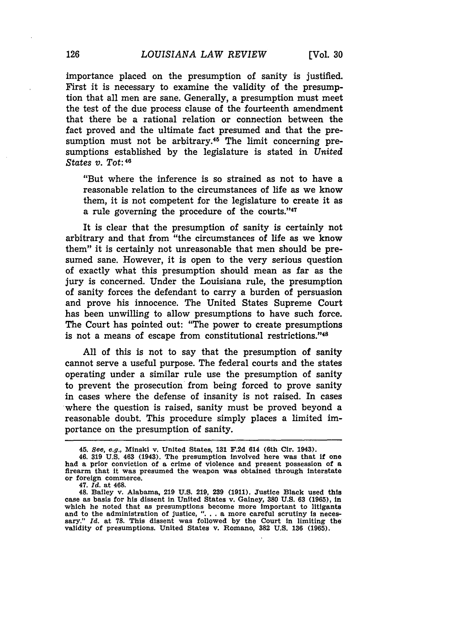importance placed on the presumption of sanity is justified. First it is necessary to examine the validity of the presumption that all men are sane. Generally, a presumption must meet the test of the due process clause of the fourteenth amendment that there be a rational relation or connection between the fact proved and the ultimate fact presumed and that the presumption must not be arbitrary.<sup>45</sup> The limit concerning presumptions established by the legislature is stated in *United States v. Tot:<sup>48</sup>*

"But where the inference is so strained as not to have a reasonable relation to the circumstances of life as we know them, it is not competent for the legislature to create it as a rule governing the procedure of the courts."47

It is clear that the presumption of sanity is certainly not arbitrary and that from "the circumstances of life as we know them" it is certainly not unreasonable that men should be presumed sane. However, it is open to the very serious question of exactly what this presumption should mean as far as the jury is concerned. Under the Louisiana rule, the presumption of sanity forces the defendant to carry a burden of persuasion and prove his innocence. The United States Supreme Court has been unwilling to allow presumptions to have such force. The Court has pointed out: "The power to create presumptions is not a means of escape from constitutional restrictions."48

All of this is not to say that the presumption of sanity cannot serve a useful purpose. The federal courts and the states operating under a similar rule use the presumption of sanity to prevent the prosecution from being forced to prove sanity in cases where the defense of insanity is not raised. In cases where the question is raised, sanity must be proved beyond a reasonable doubt. This procedure simply places a limited importance on the presumption of sanity.

<sup>45.</sup> See, e.g., Minski v. United States, **131 F.2d** 614 (6th Cir. 1943).

<sup>46.</sup> **319 U.S.** 463 (1943). The presumption involved here was that **if** one had a prior conviction of a crime of violence and present possession of a firearm that it was presumed the weapon was obtained through interstate or foreign commerce.

<sup>47.</sup> *Id.* at 468.

<sup>48.</sup> Bailey v. Alabama, **219 U.S. 219, 239 (1911).** Justice Black used this case as basis for his dissent in United States v. Gainey, **380 U.S. 63 (1965),** in which he noted that as presumptions become more important to litigants and to the administration of justice, "... a more careful scrutiny is necessary." *Id.* at 78. This dissent was followed by the Court in limiting the validity of presumptions. United States v. Romano, **382 U.S. 136 (1965).**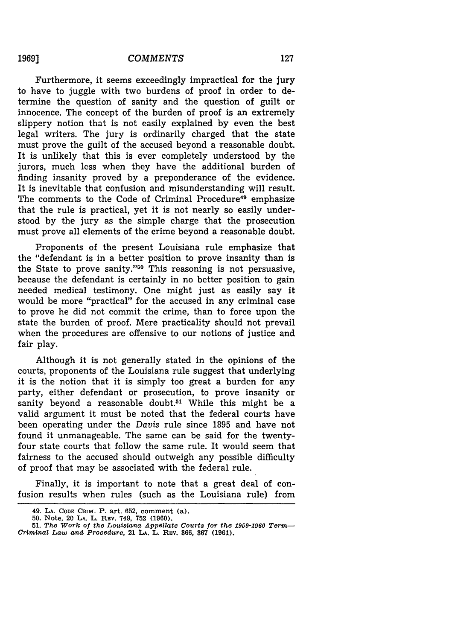Furthermore, it seems exceedingly impractical for the jury to have to juggle with two burdens of proof in order to determine the question of sanity and the question of guilt or innocence. The concept of the burden of proof is an extremely slippery notion that is not easily explained by even the best legal writers. The jury is ordinarily charged that the state must prove the guilt of the accused beyond a reasonable doubt. It is unlikely that this is ever completely understood by the jurors, much less when they have the additional burden of finding insanity proved by a preponderance of the evidence. It is inevitable that confusion and misunderstanding will result. The comments to the Code of Criminal Procedure<sup>49</sup> emphasize that the rule is practical, yet it is not nearly so easily understood by the jury as the simple charge that the prosecution must prove all elements of the crime beyond a reasonable doubt.

Proponents of the present Louisiana rule emphasize that the "defendant is in a better position to prove insanity than is the State to prove sanity."<sup>50</sup> This reasoning is not persuasive, because the defendant is certainly in no better position to gain needed medical testimony. One might just as easily say it would be more "practical" for the accused in any criminal case to prove he did not commit the crime, than to force upon the state the burden of proof. Mere practicality should not prevail when the procedures are offensive to our notions of justice and fair play.

Although it is not generally stated in the opinions of the courts, proponents of the Louisiana rule suggest that underlying it is the notion that it is simply too great a burden for any party, either defendant or prosecution, to prove insanity or sanity beyond a reasonable doubt.<sup>51</sup> While this might be a valid argument it must be noted that the federal courts have been operating under the *Davis* rule since 1895 and have not found it unmanageable. The same can be said for the twentyfour state courts that follow the same rule. It would seem that fairness to the accused should outweigh any possible difficulty of proof that may be associated with the federal rule.

Finally, it is important to note that a great deal of confusion results when rules (such as the Louisiana rule) from

**<sup>49.</sup> LA. CODE** CRiM. P. art. **652,** comment (a).

**<sup>50.</sup>** Note, 20 **LA.** L. **REv.** 749, **752 (1960).**

**<sup>51.</sup>** *The Work of the Louisiana Appellate Courts for the 1959-1960 Term-Criminal Law and Procedure,* 21 **LA.** L. REv. **366, 367 (1961).**